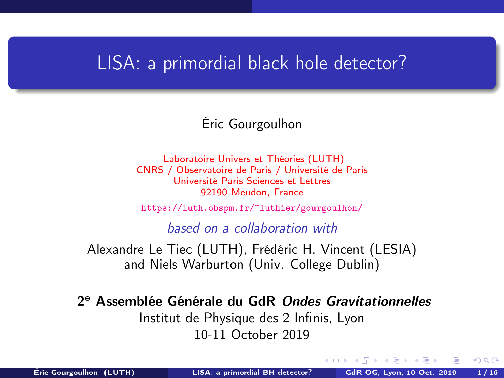### <span id="page-0-1"></span><span id="page-0-0"></span>LISA: a primordial black hole detector?

### Éric Gourgoulhon

[Laboratoire Univers et Théories \(LUTH\)](https://luth.obspm.fr) CNRS / Observatoire de Paris / Université de Paris Université Paris Sciences et Lettres 92190 Meudon, France

<https://luth.obspm.fr/~luthier/gourgoulhon/>

based on a collaboration with

Alexandre Le Tiec (LUTH), Frédéric H. Vincent (LESIA) and Niels Warburton (Univ. College Dublin)

2<sup>e</sup> Assemblée Générale du GdR Ondes Gravitationnelles Institut de Physique des 2 Infinis, Lyon 10-11 October 2019

 $\Omega$ 

 $1.73 \times 1.73 \times 1$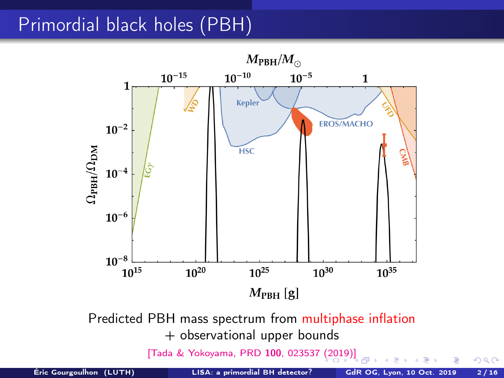## Primordial black holes (PBH)



 $299$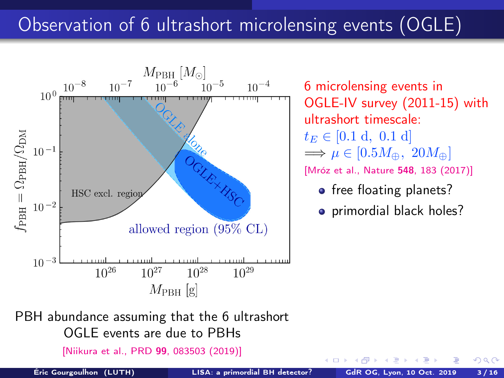# <span id="page-2-0"></span>Observation of 6 ultrashort microlensing events (OGLE)



6 microlensing events in OGLE-IV survey (2011-15) with ultrashort timescale:  $t_E \in [0.1 \text{ d}, 0.1 \text{ d}]$  $\Rightarrow \mu \in [0.5M_{\oplus}, 20M_{\oplus}]$ [\[Mróz et al., Nature](#page-0-1) 548, 183 (2017)]

- free floating planets?
- primordial black holes?

PBH abundance assuming that the 6 ultrashort OGLE events are due to PBHs

[\[Niikura et al., PRD](https://doi.org/10.1103/PhysRevD.99.083503) 99, 083503 (2019)]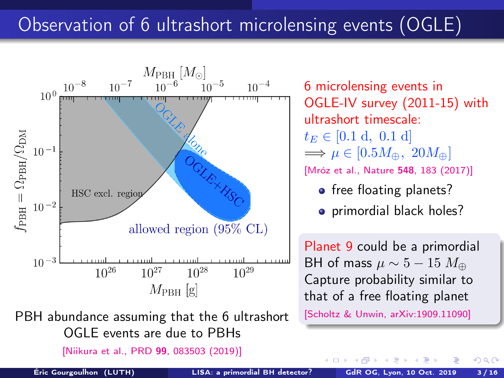# Observation of 6 ultrashort microlensing events (OGLE)



PBH abundance assuming that the 6 ultrashort OGLE events are due to PBHs

[\[Niikura et al., PRD](https://doi.org/10.1103/PhysRevD.99.083503) 99, 083503 (2019)]

6 microlensing events in OGLE-IV survey (2011-15) with ultrashort timescale:  $t_E \in [0.1 \text{ d}, 0.1 \text{ d}]$  $\Rightarrow \mu \in [0.5M_{\oplus}, 20M_{\oplus}]$ [\[Mróz et al., Nature](#page-0-1) 548, 183 (2017)]

- free floating planets?
- primordial black holes?

Planet 9 could be a primordial BH of mass  $\mu \sim 5 - 15 M_{\oplus}$ Capture probability similar to that of a free floating planet

[\[Scholtz & Unwin, arXiv](https://arxiv.org/abs/1909.11090):1909.11090]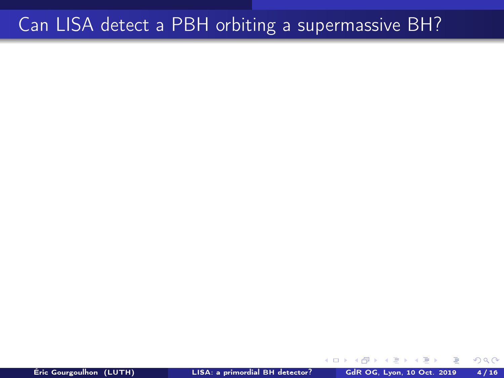## Can LISA detect a PBH orbiting a supermassive BH?

4日 ト

 $QQ$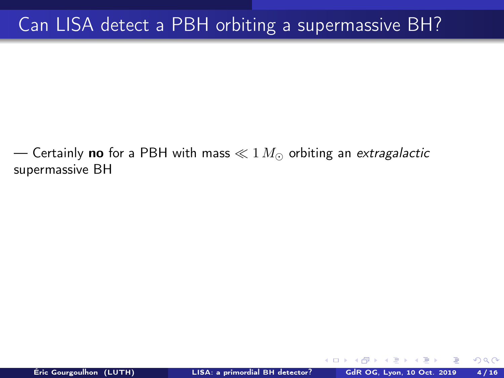— Certainly no for a PBH with mass  $\ll 1 M_{\odot}$  orbiting an extragalactic supermassive BH

 $\Omega$ 

4日 ト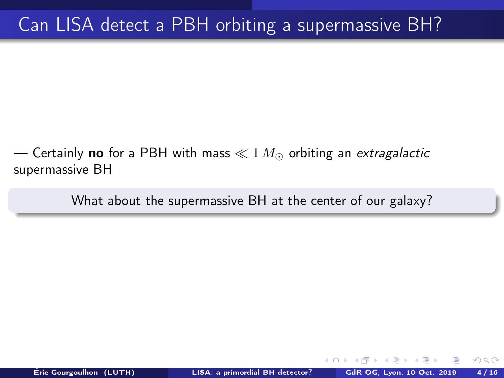— Certainly **no** for a PBH with mass  $\ll 1 M_{\odot}$  orbiting an extragalactic supermassive BH

What about the supermassive BH at the center of our galaxy?

 $\Omega$ 

4.000.00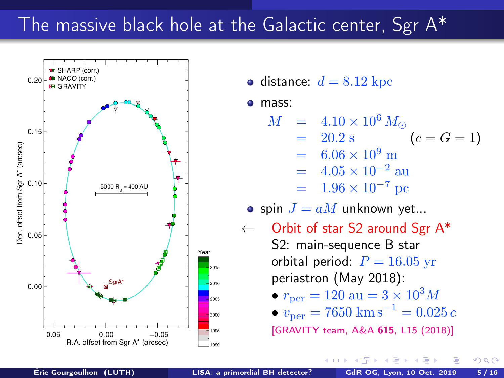### <span id="page-7-0"></span>The massive black hole at the Galactic center, Sgr A\*



• distance:  $d = 8.12$  kpc

mass:

$$
M = 4.10 \times 10^6 M_{\odot}
$$
  
= 20.2 s (c = G = 1)

 $= 6.06 \times 10^9$  m

$$
= 4.05 \times 10^{-2} \text{ au}
$$

$$
= 1.96 \times 10^{-7} \text{ pc}
$$

• spin  $J = aM$  unknown yet...

4 **ED** 

 $\leftarrow$  Orbit of star S2 around Sgr A\* S2: main-sequence B star orbital period:  $P = 16.05$  yr periastron (May 2018): •  $r_{\text{per}} = 120 \text{ au} = 3 \times 10^3 M$ 

• 
$$
v_{\text{per}} = 7650 \text{ km s}^{-1} = 0.025 c
$$

[\[GRAVITY team, A&A](https://doi.org/10.1051/0004-6361/201833718) 615, L15 (2018)]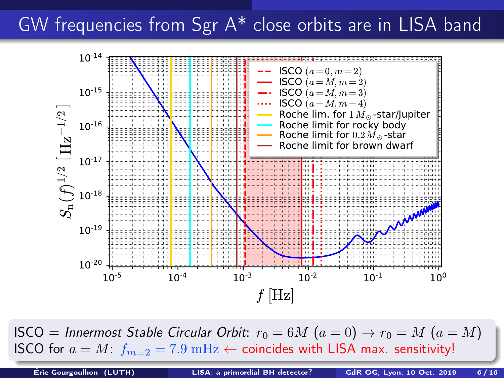## <span id="page-8-0"></span>GW frequencies from Sgr A\* close orbits are in LISA band



ISCO = Innermost Stable Circular Orbit:  $r_0 = 6M$   $(a = 0) \rightarrow r_0 = M$   $(a = M)$ ISCO for  $a = M$  $a = M$ :  $f_{m=2} = 7.9$  [m](#page-8-0)Hz  $\leftarrow$  coincides wit[h L](#page-7-0)I[SA](#page-9-0) ma[x.](#page-0-0) [sen](#page-24-0)[sit](#page-0-0)[ivi](#page-24-0)[ty!](#page-0-0)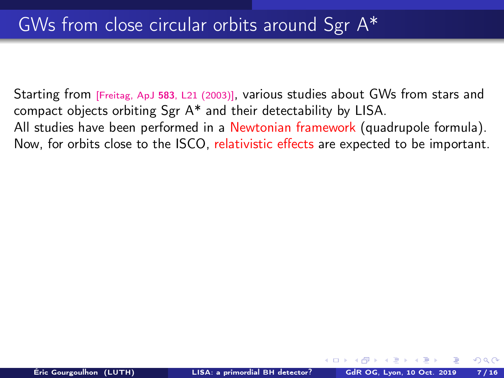<span id="page-9-0"></span>Starting from [Freitag, ApJ <sup>583</sup>[, L21 \(2003\)\]](https://doi.org/10.1086/367813), various studies about GWs from stars and compact objects orbiting Sgr A\* and their detectability by LISA. All studies have been performed in a Newtonian framework (quadrupole formula). Now, for orbits close to the ISCO, relativistic effects are expected to be important.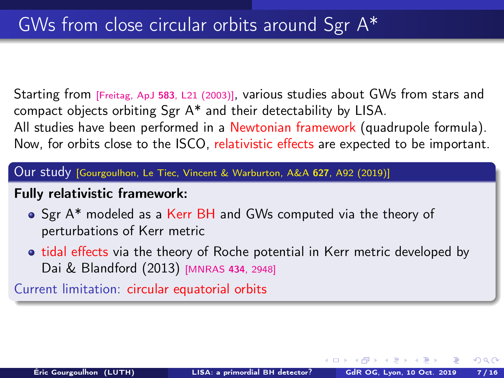Starting from [Freitag, ApJ <sup>583</sup>[, L21 \(2003\)\]](https://doi.org/10.1086/367813), various studies about GWs from stars and compact objects orbiting Sgr A\* and their detectability by LISA. All studies have been performed in a Newtonian framework (quadrupole formula). Now, for orbits close to the ISCO, relativistic effects are expected to be important.

Our study [\[Gourgoulhon, Le Tiec, Vincent & Warburton, A&A](https://doi.org/10.1051/0004-6361/201935406) <sup>627</sup>, A92 (2019)]

#### Fully relativistic framework:

- Sgr A\* modeled as a Kerr BH and GWs computed via the theory of perturbations of Kerr metric
- tidal effects via the theory of Roche potential in Kerr metric developed by Dai & Blandford (2013) [\[MNRAS](https://doi.org/10.1093/mnras/stt1209) <sup>434</sup>, 2948]

Current limitation: circular equatorial orbits

 $\left\{ \begin{array}{ccc} 1 & 0 & 0 \\ 0 & 1 & 0 \end{array} \right.$  ,  $\left\{ \begin{array}{ccc} \frac{1}{2} & 0 & 0 \\ 0 & 0 & 0 \end{array} \right.$ 

 $QQ$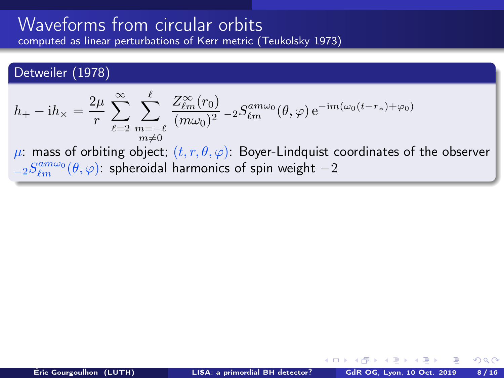#### <span id="page-11-0"></span>Detweiler (1978)

$$
h_+ - \mathrm{i}h_\times = \frac{2\mu}{r} \sum_{\ell=2}^{\infty} \sum_{\substack{m=-\ell \\ m\neq 0}}^{\ell} \frac{Z_{\ell m}^{\infty}(r_0)}{(m\omega_0)^2} - 2S_{\ell m}^{am\omega_0}(\theta, \varphi) e^{-\mathrm{i}m(\omega_0(t-r_*)+\varphi_0)}
$$

 $\mu$ : mass of orbiting object;  $(t, r, \theta, \varphi)$ : Boyer-Lindquist coordinates of the observer  ${}_{-2}S_{\ell m}^{am\omega_{0}}(\theta,\varphi)$ : spheroidal harmonics of spin weight  $-2$ 

 $\Omega$ 

メロト メ何 トメミト メミト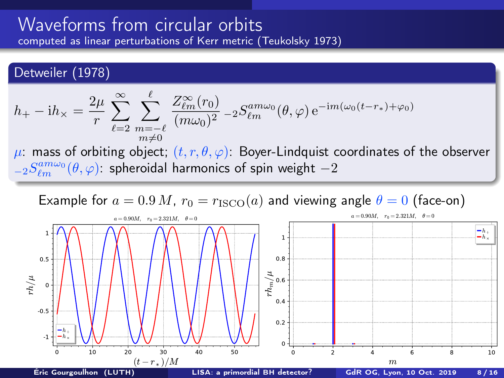<span id="page-12-0"></span>Detweiler (1978)

$$
h_+ - \mathrm{i}h_\times = \frac{2\mu}{r} \sum_{\ell=2}^\infty \sum_{\substack{m=-\ell\\m\neq 0}}^\ell \frac{Z_{\ell m}^\infty(r_0)}{(m\omega_0)^2} - 2S_{\ell m}^{am\omega_0}(\theta,\varphi) e^{-\mathrm{i}m(\omega_0(t-r_*)+\varphi_0)}
$$

 $\mu$ : mass of orbiting object;  $(t, r, \theta, \varphi)$ : Boyer-Lindquist coordinates of the observer  ${}_{-2}S_{\ell m}^{am\omega_{0}}(\theta,\varphi)$ : spheroidal harmonics of spin weight  $-2$ 

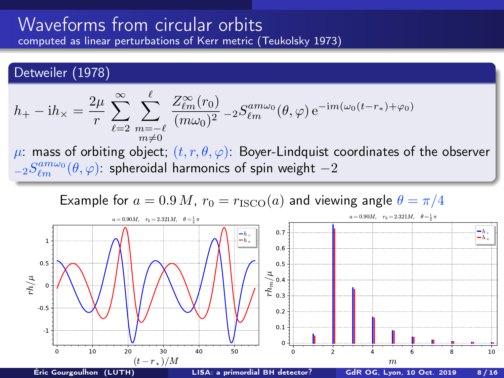Detweiler (1978)

$$
h_+ - \mathrm{i}h_\times = \frac{2\mu}{r} \sum_{\ell=2}^\infty \sum_{\substack{m=-\ell\\m\neq 0}}^\ell \frac{Z_{\ell m}^\infty(r_0)}{(m\omega_0)^2} - 2S_{\ell m}^{am\omega_0}(\theta,\varphi) e^{-\mathrm{i}m(\omega_0(t-r_*)+\varphi_0)}
$$

 $\mu$ : mass of orbiting object;  $(t, r, \theta, \varphi)$ : Boyer-Lindquist coordinates of the observer  ${}_{-2}S_{\ell m}^{am\omega_{0}}(\theta,\varphi)$ : spheroidal harmonics of spin weight  $-2$ 

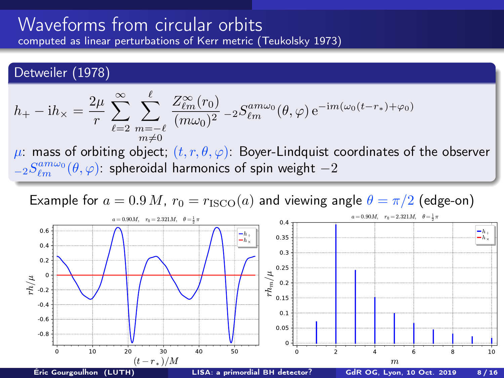<span id="page-14-0"></span>Detweiler (1978)

$$
h_+ - \mathrm{i}h_\times = \frac{2\mu}{r} \sum_{\ell=2}^\infty \sum_{\substack{m=-\ell\\m\neq 0}}^\ell \frac{Z_{\ell m}^\infty(r_0)}{(m\omega_0)^2} - 2S_{\ell m}^{am\omega_0}(\theta,\varphi) e^{-\mathrm{i}m(\omega_0(t-r_*)+\varphi_0)}
$$

 $\mu$ : mass of orbiting object;  $(t, r, \theta, \varphi)$ : Boyer-Lindquist coordinates of the observer  ${}_{-2}S_{\ell m}^{am\omega_{0}}(\theta,\varphi)$ : spheroidal harmonics of spin weight  $-2$ 

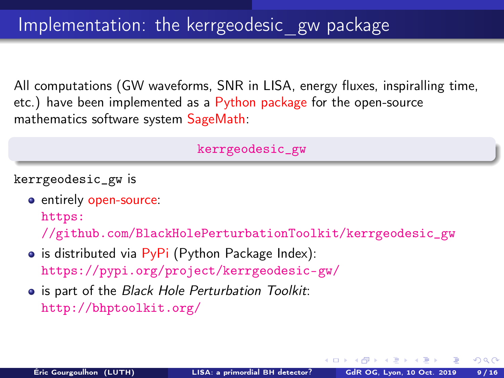<span id="page-15-0"></span>All computations (GW waveforms, SNR in LISA, energy fluxes, inspiralling time, etc.) have been implemented as a Python package for the open-source mathematics software system SageMath:

[kerrgeodesic\\_gw](https://pypi.org/project/kerrgeodesic-gw/)

kerrgeodesic\_gw is

entirely open-source:

[https:](https://github.com/BlackHolePerturbationToolkit/kerrgeodesic_gw)

[//github.com/BlackHolePerturbationToolkit/kerrgeodesic\\_gw](https://github.com/BlackHolePerturbationToolkit/kerrgeodesic_gw)

- $\bullet$  is distributed via PyPi (Python Package Index): <https://pypi.org/project/kerrgeodesic-gw/>
- is part of the Black Hole Perturbation Toolkit: <http://bhptoolkit.org/>

 $\Omega$ 

 $\leftarrow$   $\leftarrow$   $\leftarrow$   $\leftarrow$   $\leftarrow$   $\leftarrow$   $\leftarrow$   $\leftarrow$   $\leftarrow$   $\leftarrow$   $\leftarrow$   $\leftarrow$   $\leftarrow$   $\leftarrow$   $\leftarrow$   $\leftarrow$   $\leftarrow$   $\leftarrow$   $\leftarrow$   $\leftarrow$   $\leftarrow$   $\leftarrow$   $\leftarrow$   $\leftarrow$   $\leftarrow$   $\leftarrow$   $\leftarrow$   $\leftarrow$   $\leftarrow$   $\leftarrow$   $\leftarrow$   $\leftarrow$   $\leftarrow$   $\leftarrow$   $\leftarrow$   $\leftarrow$   $\leftarrow$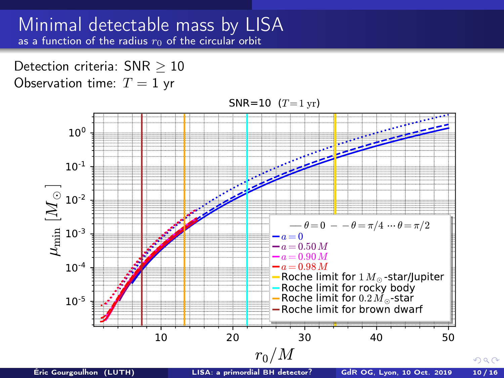#### Minimal detectable mass by LISA as a function of the radius  $r_0$  of the circular orbit

Detection criteria: SNR > 10 Observation time:  $T = 1$  yr

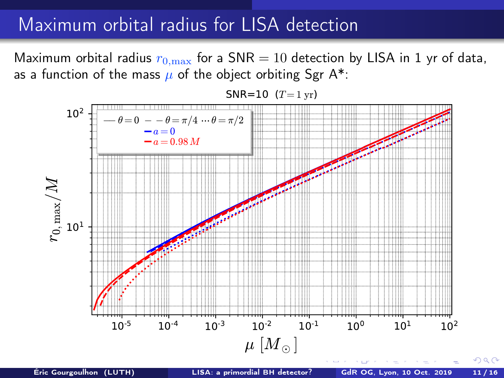### Maximum orbital radius for LISA detection

Maximum orbital radius  $r_{0,\text{max}}$  for a SNR = 10 detection by LISA in 1 yr of data, as a function of the mass  $\mu$  of the object orbiting Sgr A\*:

SNR=10  $(T=1 \text{ yr})$ 

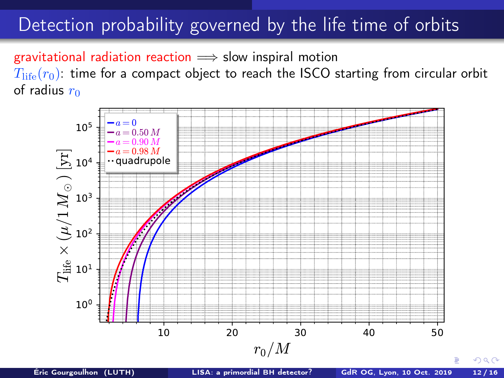## Detection probability governed by the life time of orbits

gravitational radiation reaction  $\implies$  slow inspiral motion  $T_{\text{life}}(r_0)$ : time for a compact object to reach the ISCO starting from circular orbit of radius  $r_0$ 

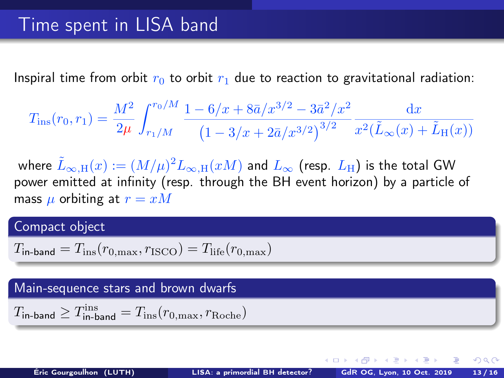Inspiral time from orbit  $r_0$  to orbit  $r_1$  due to reaction to gravitational radiation:

$$
T_{\rm ins}(r_0,r_1) = \frac{M^2}{2\mu} \int_{r_1/M}^{r_0/M} \frac{1 - 6/x + 8\bar{a}/x^{3/2} - 3\bar{a}^2/x^2}{\left(1 - 3/x + 2\bar{a}/x^{3/2}\right)^{3/2}} \frac{\mathrm{d}x}{x^2(\tilde{L}_{\infty}(x) + \tilde{L}_{\rm H}(x))}
$$

where  $\tilde L_{\infty,\mathrm{H}}(x):=(M/\mu)^2 L_{\infty,\mathrm{H}}(xM)$  and  $L_\infty$  (resp.  $L_\mathrm{H}$ ) is the total GW power emitted at infinity (resp. through the BH event horizon) by a particle of mass  $\mu$  orbiting at  $r = xM$ 

#### Compact object

$$
T_{\text{in-band}} = T_{\text{ins}}(r_{0,\text{max}}, r_{\text{ISCO}}) = T_{\text{life}}(r_{0,\text{max}})
$$

#### Main-sequence stars and brown dwarfs

$$
T_{\rm in-band} \geq T_{\rm in-band}^{\rm ins} = T_{\rm ins}(r_{0,{\rm max}},r_{\rm Roche})
$$

 $\Omega$ 

メロト メ何 トメミト メミト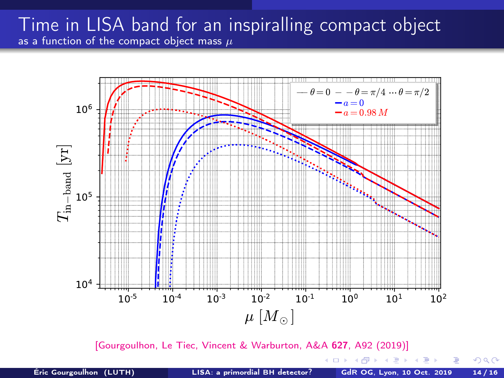### Time in LISA band for an inspiralling compact object as a function of the compact object mass  $\mu$



[\[Gourgoulhon, Le Tiec, Vincent & Warburton, A&A](https://doi.org/10.1051/0004-6361/201935406) 627, A92 (2019)]

Éric Gourgoulhon (LUTH) [LISA: a primordial BH detector?](#page-0-0) GdR OG, Lyon, 10 Oct. 2019 14 / 16

4 0 8 4

 $2990$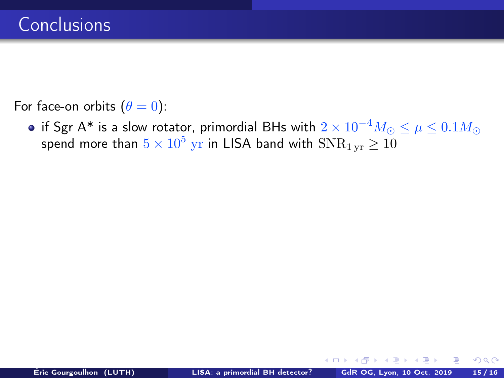For face-on orbits  $(\theta = 0)$ :

• if Sgr A\* is a slow rotator, primordial BHs with  $2 \times 10^{-4} M_{\odot} \le \mu \le 0.1 M_{\odot}$ spend more than  $5\times10^5~\mathrm{yr}$  in LISA band with  $\mathrm{SNR}_{1\,\mathrm{yr}}\geq10$ 

 $\Omega$ 

4日 ト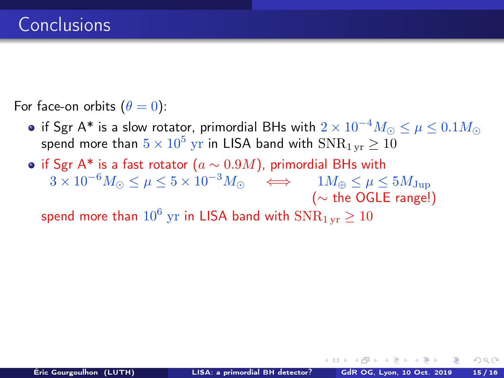For face-on orbits  $(\theta = 0)$ :

- if Sgr A\* is a slow rotator, primordial BHs with  $2 \times 10^{-4} M_{\odot} \le \mu \le 0.1 M_{\odot}$ spend more than  $5\times10^5~\mathrm{yr}$  in LISA band with  $\mathrm{SNR}_{1\,\mathrm{yr}}\geq10$
- if Sgr A\* is a fast rotator ( $a \sim 0.9M$ ), primordial BHs with  $3 \times 10^{-6} M_{\odot} \leq \mu \leq 5 \times 10^{-3} M_{\odot} \quad \Longleftrightarrow \quad 1 M_{\oplus} \leq \mu \leq 5 M_{\rm Jup}$ (∼ the OGLE range!)

spend more than  $10^6~{\rm yr}$  in LISA band with  ${\rm SNR}_{\rm 1\,yr} \geq 10^6$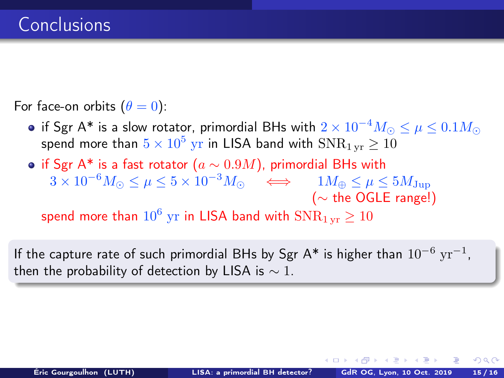For face-on orbits  $(\theta = 0)$ :

- if Sgr A\* is a slow rotator, primordial BHs with  $2 \times 10^{-4} M_{\odot} \le \mu \le 0.1 M_{\odot}$ spend more than  $5\times10^5~\mathrm{yr}$  in LISA band with  $\mathrm{SNR}_{1\,\mathrm{yr}}\geq10$
- if Sgr A\* is a fast rotator ( $a \sim 0.9M$ ), primordial BHs with  $3 \times 10^{-6} M_{\odot} \leq \mu \leq 5 \times 10^{-3} M_{\odot} \quad \Longleftrightarrow \quad 1 M_{\oplus} \leq \mu \leq 5 M_{\rm Jup}$ (∼ the OGLE range!)

spend more than  $10^6~{\rm yr}$  in LISA band with  ${\rm SNR}_{\rm 1\,yr} \geq 10^6$ 

If the capture rate of such primordial BHs by Sgr A\* is higher than  $10^{-6}~{\rm yr}^{-1}$ , then the probability of detection by LISA is  $\sim$  1.